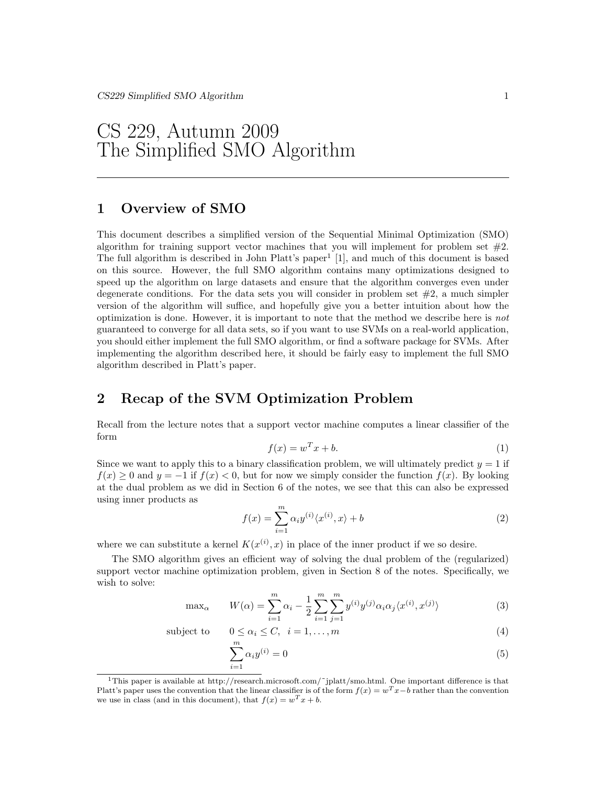CS 229, Autumn 2009 The Simplified SMO Algorithm

## 1 Overview of SMO

This document describes a simplified version of the Sequential Minimal Optimization (SMO) algorithm for training support vector machines that you will implement for problem set  $#2$ . The full algorithm is described in John Platt's paper<sup>1</sup> [1], and much of this document is based on this source. However, the full SMO algorithm contains many optimizations designed to speed up the algorithm on large datasets and ensure that the algorithm converges even under degenerate conditions. For the data sets you will consider in problem set  $#2$ , a much simpler version of the algorithm will suffice, and hopefully give you a better intuition about how the optimization is done. However, it is important to note that the method we describe here is not guaranteed to converge for all data sets, so if you want to use SVMs on a real-world application, you should either implement the full SMO algorithm, or find a software package for SVMs. After implementing the algorithm described here, it should be fairly easy to implement the full SMO algorithm described in Platt's paper.

### 2 Recap of the SVM Optimization Problem

Recall from the lecture notes that a support vector machine computes a linear classifier of the form

$$
f(x) = w^T x + b. \tag{1}
$$

Since we want to apply this to a binary classification problem, we will ultimately predict  $y = 1$  if  $f(x) \geq 0$  and  $y = -1$  if  $f(x) < 0$ , but for now we simply consider the function  $f(x)$ . By looking at the dual problem as we did in Section 6 of the notes, we see that this can also be expressed using inner products as

$$
f(x) = \sum_{i=1}^{m} \alpha_i y^{(i)} \langle x^{(i)}, x \rangle + b \tag{2}
$$

where we can substitute a kernel  $K(x^{(i)}, x)$  in place of the inner product if we so desire.

The SMO algorithm gives an efficient way of solving the dual problem of the (regularized) support vector machine optimization problem, given in Section 8 of the notes. Specifically, we wish to solve:

$$
\max_{\alpha} \qquad W(\alpha) = \sum_{i=1}^{m} \alpha_i - \frac{1}{2} \sum_{i=1}^{m} \sum_{j=1}^{m} y^{(i)} y^{(j)} \alpha_i \alpha_j \langle x^{(i)}, x^{(j)} \rangle \tag{3}
$$

subject to

$$
0 \le \alpha_i \le C, \quad i = 1, \dots, m \tag{4}
$$

$$
\sum_{i=1}^{m} \alpha_i y^{(i)} = 0 \tag{5}
$$

<sup>&</sup>lt;sup>1</sup>This paper is available at http://research.microsoft.com/~jplatt/smo.html. One important difference is that Platt's paper uses the convention that the linear classifier is of the form  $f(x) = w^T x - b$  rather than the convention we use in class (and in this document), that  $f(x) = w<sup>T</sup> x + b$ .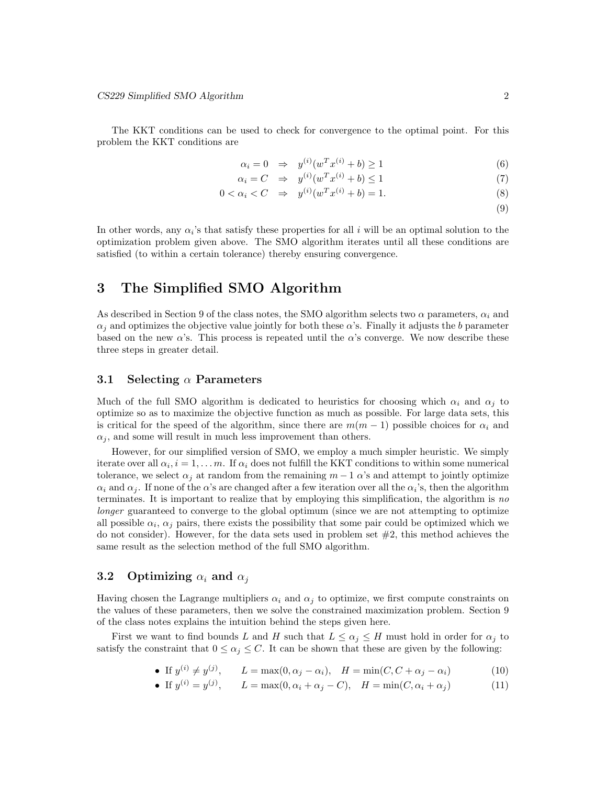The KKT conditions can be used to check for convergence to the optimal point. For this problem the KKT conditions are

$$
\alpha_i = 0 \quad \Rightarrow \quad y^{(i)}(w^T x^{(i)} + b) \ge 1 \tag{6}
$$

$$
\alpha_i = C \quad \Rightarrow \quad y^{(i)}(w^T x^{(i)} + b) \le 1 \tag{7}
$$

$$
0 < \alpha_i < C \quad \Rightarrow \quad y^{(i)}(w^T x^{(i)} + b) = 1. \tag{8}
$$

(9)

In other words, any  $\alpha_i$ 's that satisfy these properties for all i will be an optimal solution to the optimization problem given above. The SMO algorithm iterates until all these conditions are satisfied (to within a certain tolerance) thereby ensuring convergence.

### 3 The Simplified SMO Algorithm

As described in Section 9 of the class notes, the SMO algorithm selects two  $\alpha$  parameters,  $\alpha_i$  and  $\alpha_j$  and optimizes the objective value jointly for both these  $\alpha$ 's. Finally it adjusts the b parameter based on the new  $\alpha$ 's. This process is repeated until the  $\alpha$ 's converge. We now describe these three steps in greater detail.

#### 3.1 Selecting  $\alpha$  Parameters

Much of the full SMO algorithm is dedicated to heuristics for choosing which  $\alpha_i$  and  $\alpha_j$  to optimize so as to maximize the objective function as much as possible. For large data sets, this is critical for the speed of the algorithm, since there are  $m(m-1)$  possible choices for  $\alpha_i$  and  $\alpha_j$ , and some will result in much less improvement than others.

However, for our simplified version of SMO, we employ a much simpler heuristic. We simply iterate over all  $\alpha_i$ ,  $i = 1, ..., m$ . If  $\alpha_i$  does not fulfill the KKT conditions to within some numerical tolerance, we select  $\alpha_j$  at random from the remaining  $m-1$   $\alpha$ 's and attempt to jointly optimize  $\alpha_i$  and  $\alpha_j$ . If none of the  $\alpha$ 's are changed after a few iteration over all the  $\alpha_i$ 's, then the algorithm terminates. It is important to realize that by employing this simplification, the algorithm is no longer guaranteed to converge to the global optimum (since we are not attempting to optimize all possible  $\alpha_i$ ,  $\alpha_j$  pairs, there exists the possibility that some pair could be optimized which we do not consider). However, for the data sets used in problem set  $#2$ , this method achieves the same result as the selection method of the full SMO algorithm.

### 3.2 Optimizing  $\alpha_i$  and  $\alpha_j$

Having chosen the Lagrange multipliers  $\alpha_i$  and  $\alpha_j$  to optimize, we first compute constraints on the values of these parameters, then we solve the constrained maximization problem. Section 9 of the class notes explains the intuition behind the steps given here.

First we want to find bounds L and H such that  $L \leq \alpha_j \leq H$  must hold in order for  $\alpha_j$  to satisfy the constraint that  $0 \leq \alpha_j \leq C$ . It can be shown that these are given by the following:

• If 
$$
y^{(i)} \neq y^{(j)}
$$
,  $L = \max(0, \alpha_j - \alpha_i)$ ,  $H = \min(C, C + \alpha_j - \alpha_i)$  (10)

• If  $y^{(i)} = y^{(j)}$ ,  $L = \max(0, \alpha_i + \alpha_j - C)$ ,  $H = \min(C, \alpha_i + \alpha_j)$  (11)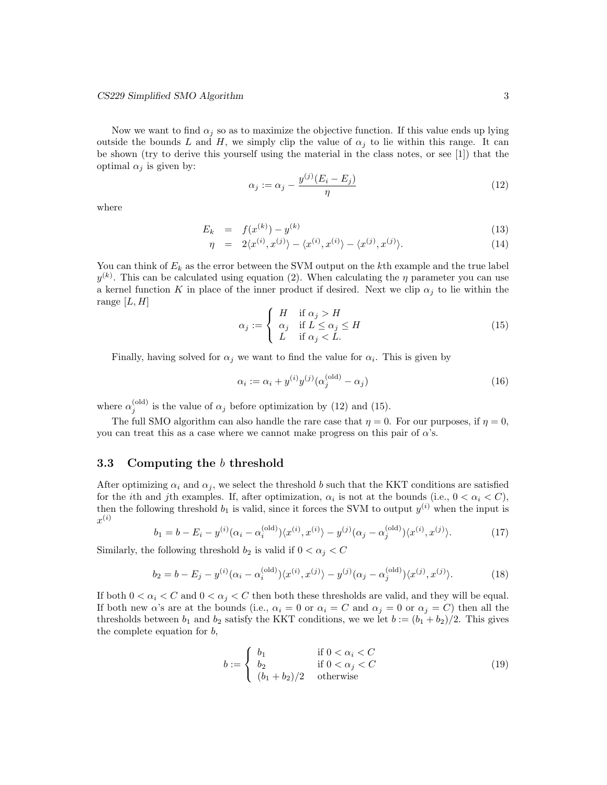Now we want to find  $\alpha_j$  so as to maximize the objective function. If this value ends up lying outside the bounds L and H, we simply clip the value of  $\alpha_i$  to lie within this range. It can be shown (try to derive this yourself using the material in the class notes, or see [1]) that the optimal  $\alpha_j$  is given by:

$$
\alpha_j := \alpha_j - \frac{y^{(j)}(E_i - E_j)}{\eta} \tag{12}
$$

where

$$
E_k = f(x^{(k)}) - y^{(k)} \tag{13}
$$

$$
\eta = 2\langle x^{(i)}, x^{(j)} \rangle - \langle x^{(i)}, x^{(i)} \rangle - \langle x^{(j)}, x^{(j)} \rangle. \tag{14}
$$

You can think of  $E_k$  as the error between the SVM output on the kth example and the true label  $y^{(k)}$ . This can be calculated using equation (2). When calculating the  $\eta$  parameter you can use a kernel function K in place of the inner product if desired. Next we clip  $\alpha_i$  to lie within the range  $[L, H]$ 

$$
\alpha_j := \begin{cases} H & \text{if } \alpha_j > H \\ \alpha_j & \text{if } L \le \alpha_j \le H \\ L & \text{if } \alpha_j < L. \end{cases}
$$
 (15)

Finally, having solved for  $\alpha_j$  we want to find the value for  $\alpha_i$ . This is given by

$$
\alpha_i := \alpha_i + y^{(i)} y^{(j)} (\alpha_j^{(\text{old})} - \alpha_j)
$$
\n
$$
(16)
$$

where  $\alpha_j^{\text{(old)}}$  is the value of  $\alpha_j$  before optimization by (12) and (15).

The full SMO algorithm can also handle the rare case that  $\eta = 0$ . For our purposes, if  $\eta = 0$ , you can treat this as a case where we cannot make progress on this pair of  $\alpha$ 's.

### 3.3 Computing the b threshold

After optimizing  $\alpha_i$  and  $\alpha_j$ , we select the threshold b such that the KKT conditions are satisfied for the *i*th and *j*th examples. If, after optimization,  $\alpha_i$  is not at the bounds (i.e.,  $0 < \alpha_i < C$ ), then the following threshold  $b_1$  is valid, since it forces the SVM to output  $y^{(i)}$  when the input is  $x^{(i)}$ 

$$
b_1 = b - E_i - y^{(i)}(\alpha_i - \alpha_i^{(\text{old})}) \langle x^{(i)}, x^{(i)} \rangle - y^{(j)}(\alpha_j - \alpha_j^{(\text{old})}) \langle x^{(i)}, x^{(j)} \rangle. \tag{17}
$$

Similarly, the following threshold  $b_2$  is valid if  $0 < \alpha_j < C$ 

$$
b_2 = b - E_j - y^{(i)}(\alpha_i - \alpha_i^{(\text{old})}) \langle x^{(i)}, x^{(j)} \rangle - y^{(j)}(\alpha_j - \alpha_j^{(\text{old})}) \langle x^{(j)}, x^{(j)} \rangle. \tag{18}
$$

If both  $0 < \alpha_i < C$  and  $0 < \alpha_j < C$  then both these thresholds are valid, and they will be equal. If both new  $\alpha$ 's are at the bounds (i.e.,  $\alpha_i = 0$  or  $\alpha_i = C$  and  $\alpha_j = 0$  or  $\alpha_j = C$ ) then all the thresholds between  $b_1$  and  $b_2$  satisfy the KKT conditions, we we let  $b := (b_1 + b_2)/2$ . This gives the complete equation for b,

$$
b := \begin{cases} b_1 & \text{if } 0 < \alpha_i < C \\ b_2 & \text{if } 0 < \alpha_j < C \\ (b_1 + b_2)/2 & \text{otherwise} \end{cases} \tag{19}
$$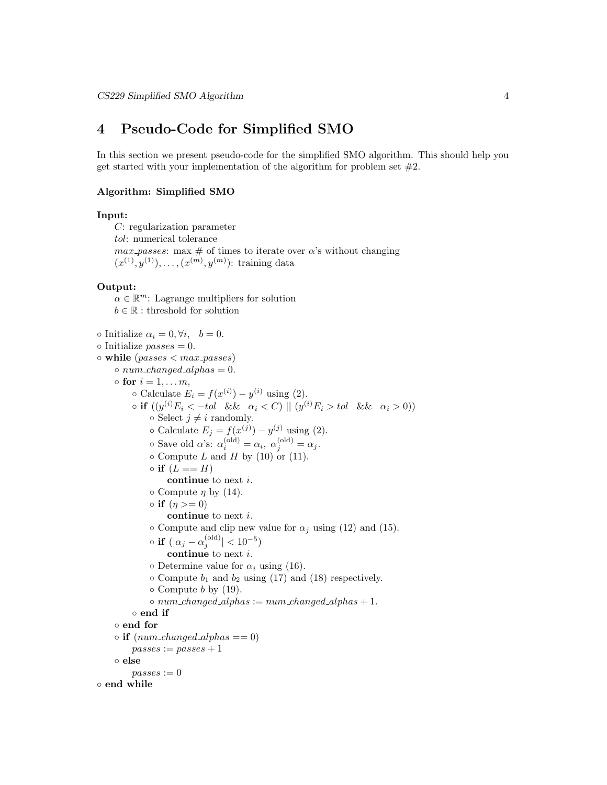### 4 Pseudo-Code for Simplified SMO

In this section we present pseudo-code for the simplified SMO algorithm. This should help you get started with your implementation of the algorithm for problem set  $#2$ .

#### Algorithm: Simplified SMO

#### Input:

C: regularization parameter tol: numerical tolerance  $max\text{-}passes: \text{max} \# \text{ of times to iterate over } \alpha$ 's without changing  $(x^{(1)}, y^{(1)}), \ldots, (x^{(m)}, y^{(m)})$ : training data

#### Output:

 $\alpha \in \mathbb{R}^m$ : Lagrange multipliers for solution  $b \in \mathbb{R}$  : threshold for solution  $\circ$  Initialize  $\alpha_i = 0, \forall i, \quad b = 0.$  $\circ$  Initialize passes = 0.  $\circ$  while (passes  $\langle max\_passes \rangle$ )  $\circ$  num\_changed\_alphas = 0.  $\circ$  for  $i = 1, \ldots m$ ,  $\circ$  Calculate  $E_i = f(x^{(i)}) - y^{(i)}$  using (2).  $\circ$  if  $((y^{(i)}E_i < -tol \& \& \alpha_i < C) \parallel (y^{(i)}E_i > tol \& \alpha_i > 0))$  $\circ$  Select  $j \neq i$  randomly.  $\circ$  Calculate  $E_j = f(x^{(j)}) - y^{(j)}$  using (2).  $\circ$  Save old  $\alpha$ 's:  $\alpha_i^{\text{(old)}} = \alpha_i, \ \alpha_j^{\text{(old)}} = \alpha_j.$  $\circ$  Compute L and H by (10) or (11).  $\circ$  if  $(L == H)$ continue to next i.  $\circ$  Compute  $\eta$  by (14).  $\circ$  if  $(\eta >= 0)$ continue to next i.  $\circ$  Compute and clip new value for  $\alpha_j$  using (12) and (15).  $\circ \text{ if } (|\alpha_j-\alpha_j^{(\text{old})}|< 10^{-5})$ continue to next i.  $\circ$  Determine value for  $\alpha_i$  using (16).  $\circ$  Compute  $b_1$  and  $b_2$  using (17) and (18) respectively.  $\circ$  Compute b by (19).  $\circ$  num changed alphas := num changed alphas + 1. ◦ end if ◦ end for  $\circ$  if  $(num\_changed\_alpha = 0)$  $passes := passes + 1$ ◦ else  $passes := 0$ ◦ end while